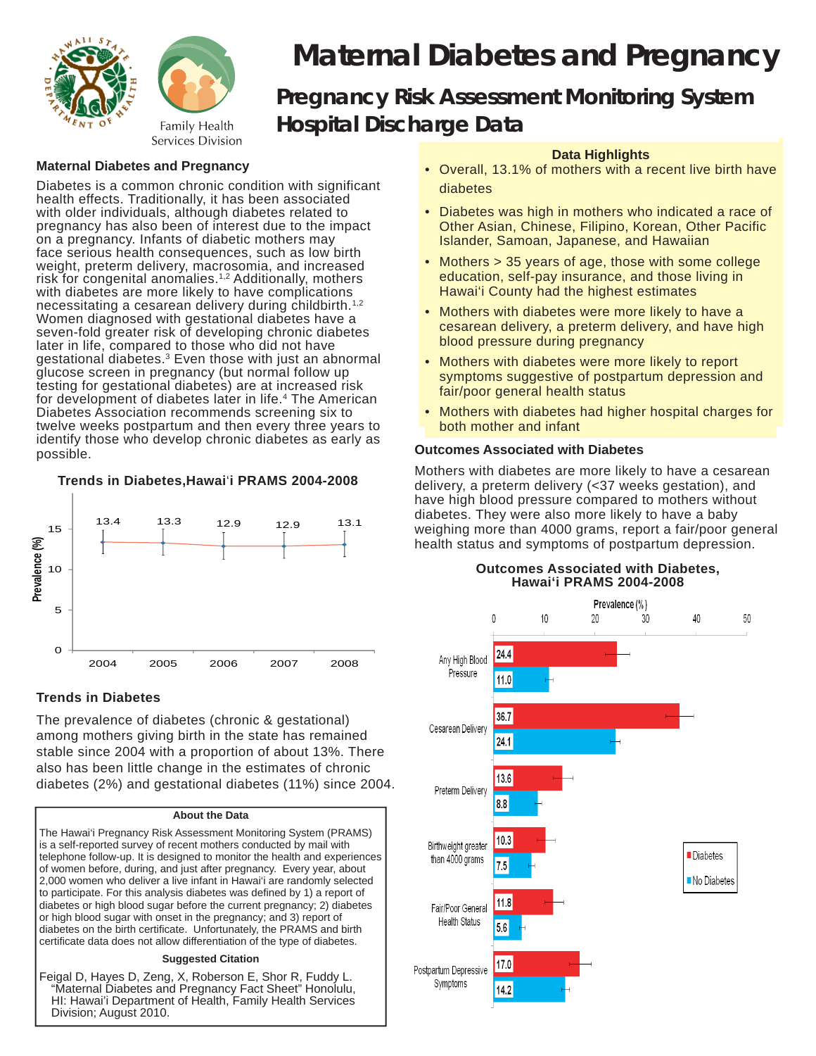

# *Maternal Diabetes and Pregnancy Pregnancy Risk Assessment Monitoring System Hospital Discharge Data*

# **Maternal Diabetes and Pregnancy**

Diabetes is a common chronic condition with significant health effects. Traditionally, it has been associated with older individuals, although diabetes related to pregnancy has also been of interest due to the impact on a pregnancy. Infants of diabetic mothers may face serious health consequences, such as low birth weight, preterm delivery, macrosomia, and increased risk for congenital anomalies.<sup>1,2</sup> Additionally, mothers with diabetes are more likely to have complications necessitating a cesarean delivery during childbirth.<sup>1,2</sup> Women diagnosed with gestational diabetes have a seven-fold greater risk of developing chronic diabetes later in life, compared to those who did not have gestational diabetes.<sup>3</sup> Even those with just an abnormal glucose screen in pregnancy (but normal follow up testing for gestational diabetes) are at increased risk for development of diabetes later in life.<sup>4</sup> The American Diabetes Association recommends screening six to twelve weeks postpartum and then every three years to identify those who develop chronic diabetes as early as possible.

## **Trends in Diabetes,Hawai**'**i PRAMS 2004-2008**



# **Trends in Diabetes**

The prevalence of diabetes (chronic & gestational) among mothers giving birth in the state has remained stable since 2004 with a proportion of about 13%. There also has been little change in the estimates of chronic diabetes (2%) and gestational diabetes (11%) since 2004.

## **About the Data**

The Hawai'i Pregnancy Risk Assessment Monitoring System (PRAMS) is a self-reported survey of recent mothers conducted by mail with telephone follow-up. It is designed to monitor the health and experiences of women before, during, and just after pregnancy. Every year, about 2,000 women who deliver a live infant in Hawai'i are randomly selected to participate. For this analysis diabetes was defined by 1) a report of diabetes or high blood sugar before the current pregnancy; 2) diabetes or high blood sugar with onset in the pregnancy; and 3) report of diabetes on the birth certificate. Unfortunately, the PRAMS and birth certificate data does not allow differentiation of the type of diabetes.

#### **Suggested Citation**

Feigal D, Hayes D, Zeng, X, Roberson E, Shor R, Fuddy L. "Maternal Diabetes and Pregnancy Fact Sheet" Honolulu, HI: Hawai'i Department of Health, Family Health Services Division; August 2010.

## **Data Highlights**

- Overall, 13.1% of mothers with a recent live birth have diabetes
- Diabetes was high in mothers who indicated a race of Other Asian, Chinese, Filipino, Korean, Other Pacific Islander, Samoan, Japanese, and Hawaiian
- Mothers > 35 years of age, those with some college education, self-pay insurance, and those living in Hawai'i County had the highest estimates
- Mothers with diabetes were more likely to have a cesarean delivery, a preterm delivery, and have high blood pressure during pregnancy
- Mothers with diabetes were more likely to report symptoms suggestive of postpartum depression and fair/poor general health status
- Mothers with diabetes had higher hospital charges for both mother and infant

## **Outcomes Associated with Diabetes**

Mothers with diabetes are more likely to have a cesarean delivery, a preterm delivery (<37 weeks gestation), and have high blood pressure compared to mothers without diabetes. They were also more likely to have a baby weighing more than 4000 grams, report a fair/poor general health status and symptoms of postpartum depression.



#### **Outcomes Associated with Diabetes, Hawai'i PRAMS 2004-2008**